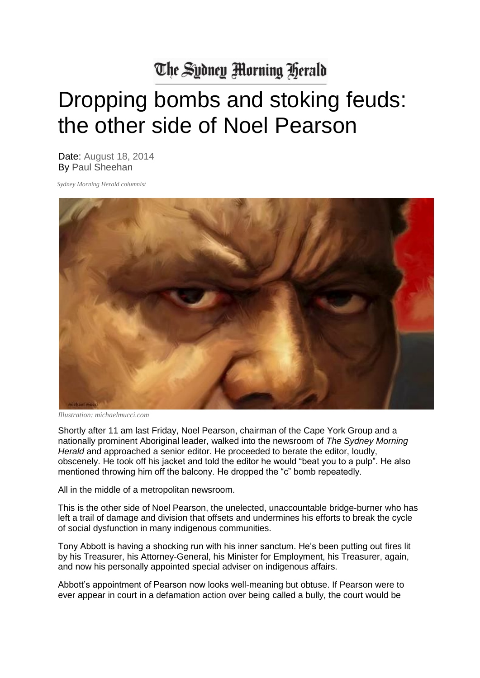## The Sydney Morning Herald

## Dropping bombs and stoking feuds: the other side of Noel Pearson

Date: August 18, 2014 By Paul Sheehan

*Sydney Morning Herald columnist*



*Illustration: michaelmucci.com*

Shortly after 11 am last Friday, Noel Pearson, chairman of the Cape York Group and a nationally prominent Aboriginal leader, walked into the newsroom of *The Sydney Morning Herald* and approached a senior editor. He proceeded to berate the editor, loudly, obscenely. He took off his jacket and told the editor he would "beat you to a pulp". He also mentioned throwing him off the balcony. He dropped the "c" bomb repeatedly.

All in the middle of a metropolitan newsroom.

This is the other side of Noel Pearson, the unelected, unaccountable bridge-burner who has left a trail of damage and division that offsets and undermines his efforts to break the cycle of social dysfunction in many indigenous communities.

Tony Abbott is having a shocking run with his inner sanctum. He's been putting out fires lit by his Treasurer, his Attorney-General, his Minister for Employment, his Treasurer, again, and now his personally appointed special adviser on indigenous affairs.

Abbott's appointment of Pearson now looks well-meaning but obtuse. If Pearson were to ever appear in court in a defamation action over being called a bully, the court would be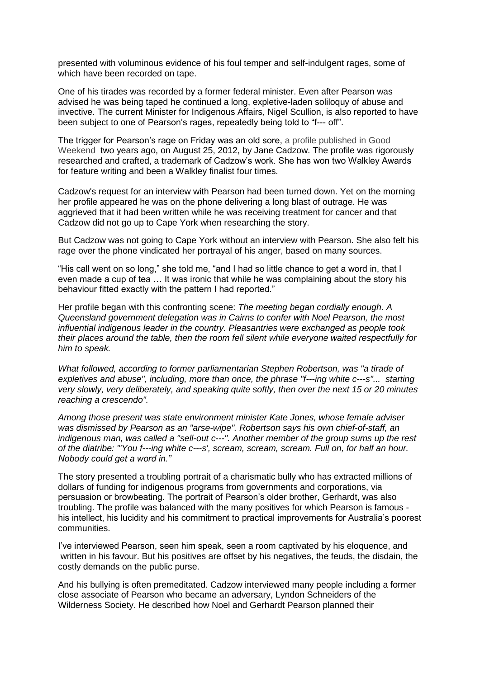presented with voluminous evidence of his foul temper and self-indulgent rages, some of which have been recorded on tape.

One of his tirades was recorded by a former federal minister. Even after Pearson was advised he was being taped he continued a long, expletive-laden soliloquy of abuse and invective. The current Minister for Indigenous Affairs, Nigel Scullion, is also reported to have been subject to one of Pearson's rages, repeatedly being told to "f--- off".

The trigger for Pearson's rage on Friday was an old sore, a profile published in Good Weekend two years ago, on August 25, 2012, by Jane Cadzow. The profile was rigorously researched and crafted, a trademark of Cadzow's work. She has won two Walkley Awards for feature writing and been a Walkley finalist four times.

Cadzow's request for an interview with Pearson had been turned down. Yet on the morning her profile appeared he was on the phone delivering a long blast of outrage. He was aggrieved that it had been written while he was receiving treatment for cancer and that Cadzow did not go up to Cape York when researching the story.

But Cadzow was not going to Cape York without an interview with Pearson. She also felt his rage over the phone vindicated her portrayal of his anger, based on many sources.

"His call went on so long," she told me, "and I had so little chance to get a word in, that I even made a cup of tea … It was ironic that while he was complaining about the story his behaviour fitted exactly with the pattern I had reported."

Her profile began with this confronting scene: *The meeting began cordially enough. A Queensland government delegation was in Cairns to confer with Noel Pearson, the most influential indigenous leader in the country. Pleasantries were exchanged as people took their places around the table, then the room fell silent while everyone waited respectfully for him to speak.*

*What followed, according to former parliamentarian Stephen Robertson, was "a tirade of expletives and abuse", including, more than once, the phrase "f---ing white c---s"... starting very slowly, very deliberately, and speaking quite softly, then over the next 15 or 20 minutes reaching a crescendo".*

*Among those present was state environment minister Kate Jones, whose female adviser was dismissed by Pearson as an "arse-wipe". Robertson says his own chief-of-staff, an indigenous man, was called a "sell-out c---". Another member of the group sums up the rest of the diatribe: "'You f---ing white c---s', scream, scream, scream. Full on, for half an hour. Nobody could get a word in."*

The story presented a troubling portrait of a charismatic bully who has extracted millions of dollars of funding for indigenous programs from governments and corporations, via persuasion or browbeating. The portrait of Pearson's older brother, Gerhardt, was also troubling. The profile was balanced with the many positives for which Pearson is famous his intellect, his lucidity and his commitment to practical improvements for Australia's poorest communities.

I've interviewed Pearson, seen him speak, seen a room captivated by his eloquence, and written in his favour. But his positives are offset by his negatives, the feuds, the disdain, the costly demands on the public purse.

And his bullying is often premeditated. Cadzow interviewed many people including a former close associate of Pearson who became an adversary, Lyndon Schneiders of the Wilderness Society. He described how Noel and Gerhardt Pearson planned their